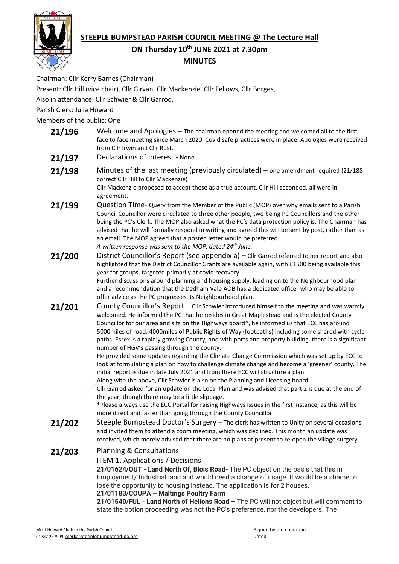

# **STEEPLE BUMPSTEAD PARISH COUNCIL MEETING @ The Lecture Hall**

## **ON Thursday 10th JUNE 2021 at 7.30pm**

### **MINUTES**

Chairman: Cllr Kerry Barnes (Chairman)

Present: Cllr Hill (vice chair), Cllr Girvan, Cllr Mackenzie, Cllr Fellows, Cllr Borges,

Also in attendance: Cllr Schwier & Cllr Garrod.

Parish Clerk: Julia Howard

Members of the public: One

- **21/196** Welcome and Apologies The chairman opened the meeting and welcomed all to the first face to face meeting since March 2020. Covid safe practices were in place. Apologies were received from Cllr Irwin and Cllr Rust.
- 21/197 Declarations of Interest None
- **21/198** Minutes of the last meeting (previously circulated) one amendment required (21/188 correct Cllr Hill to Cllr Mackenzie) Cllr Mackenzie proposed to accept these as a true account, Cllr Hill seconded, all were in agreement.
- 21/199 Question Time- Query from the Member of the Public (MOP) over why emails sent to a Parish Council Councillor were circulated to three other people, two being PC Councillors and the other being the PC's Clerk. The MOP also asked what the PC's data protection policy is. The Chairman has advised that he will formally respond in writing and agreed this will be sent by post, rather than as an email. The MOP agreed that a posted letter would be preferred. *A written response was sent to the MOP, dated 24th June.*
- **21/200** District Councillor's Report (see appendix a) Cllr Garrod referred to her report and also highlighted that the District Councillor Grants are available again, with £1500 being available this year for groups, targeted primarily at covid recovery. Further discussions around planning and housing supply, leading on to the Neighbourhood plan and a recommendation that the Dedham Vale AOB has a dedicated officer who may be able to offer advice as the PC progresses its Neighbourhood plan.
- 21/201 County Councillor's Report Cllr Schwier introduced himself to the meeting and was warmly welcomed. He informed the PC that he resides in Great Maplestead and is the elected County Councillor for our area and sits on the Highways board\*, he informed us that ECC has around 5000miles of road, 4000miles of Public Rights of Way (footpaths) including some shared with cycle paths. Essex is a rapidly growing County, and with ports and property building, there is a significant number of HGV's passing through the county.

He provided some updates regarding the Climate Change Commission which was set up by ECC to look at formulating a plan on how to challenge climate change and become a 'greener' county. The initial report is due in late July 2021 and from there ECC will structure a plan.

Along with the above, Cllr Schwier is also on the Planning and Licensing board.

Cllr Garrod asked for an update on the Local Plan and was advised that part 2 is due at the end of the year, though there may be a little slippage.

\*Please always use the ECC Portal for raising Highways issues in the first instance, as this will be more direct and faster than going through the County Councillor.

21/202 Steeple Bumpstead Doctor's Surgery – The clerk has written to Unity on several occasions and invited them to attend a zoom meeting, which was declined. This month an update was received, which merely advised that there are no plans at present to re-open the village surgery.

### **21/203** Planning & Consultations

ITEM 1. Applications / Decisions

**21/01624/OUT - Land North Of, Blois Road-** The PC object on the basis that this in Employment/ Industrial land and would need a change of usage. It would be a shame to lose the opportunity to housing instead. The application is for 2 houses.

**21/01183/COUPA – Maltings Poultry Farm**

**21/01540/FUL - Land North of Helions Road –** The PC will not object but will comment to state the option proceeding was not the PC's preference, nor the developers. The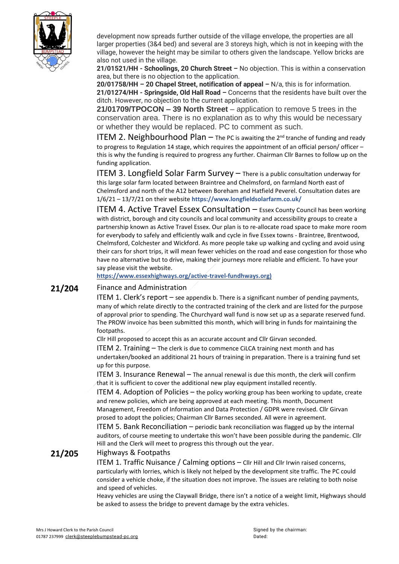

development now spreads further outside of the village envelope, the properties are all larger properties (3&4 bed) and several are 3 storeys high, which is not in keeping with the village, however the height may be similar to others given the landscape. Yellow bricks are also not used in the village.

**21/01521/HH - Schoolings, 20 Church Street –** No objection. This is within a conservation area, but there is no objection to the application.

**20/01758/HH – 20 Chapel Street, notification of appeal –** N/a, this is for information. **21/01274/HH - Springside, Old Hall Road –** Concerns that the residents have built over the ditch. However, no objection to the current application.

**21/01709/TPOCON – 39 North Street** – application to remove 5 trees in the conservation area. There is no explanation as to why this would be necessary or whether they would be replaced. PC to comment as such.

**ITEM 2. Neighbourhood Plan**  $-$  The PC is awaiting the 2<sup>nd</sup> tranche of funding and ready to progress to Regulation 14 stage, which requires the appointment of an official person/ officer – this is why the funding is required to progress any further. Chairman Cllr Barnes to follow up on the funding application.

ITEM 3. Longfield Solar Farm Survey – There is a public consultation underway for this large solar farm located between Braintree and Chelmsford, on farmland North east of Chelmsford and north of the A12 between Boreham and Hatfield Peverel. Consultation dates are 1/6/21 – 13/7/21 on their website **https://www.longfieldsolarfarm.co.uk/**

ITEM 4. Active Travel Essex Consultation – Essex County Council has been working with district, borough and city councils and local community and accessibility groups to create a partnership known as Active Travel Essex. Our plan is to re-allocate road space to make more room for everybody to safely and efficiently walk and cycle in five Essex towns - Braintree, Brentwood, Chelmsford, Colchester and Wickford. As more people take up walking and cycling and avoid using their cars for short trips, it will mean fewer vehicles on the road and ease congestion for those who have no alternative but to drive, making their journeys more reliable and efficient. To have your say please visit the website.

**[https://www.essexhighways.org/active-travel-fundhways.org\)](https://www.essexhighways.org/active-travel-fundhways.org))**

### **21/204** Finance and Administration

**ITEM 1. Clerk's report**  $-$  see appendix b. There is a significant number of pending payments, many of which relate directly to the contracted training of the clerk and are listed for the purpose of approval prior to spending. The Churchyard wall fund is now set up as a separate reserved fund. The PROW invoice has been submitted this month, which will bring in funds for maintaining the footpaths.

Cllr Hill proposed to accept this as an accurate account and Cllr Girvan seconded.

ITEM 2. Training – The clerk is due to commence CiLCA training next month and has undertaken/booked an additional 21 hours of training in preparation. There is a training fund set up for this purpose.

ITEM 3. Insurance Renewal – The annual renewal is due this month, the clerk will confirm that it is sufficient to cover the additional new play equipment installed recently.

ITEM 4. Adoption of Policies – the policy working group has been working to update, create and renew policies, which are being approved at each meeting. This month, Document Management, Freedom of Information and Data Protection / GDPR were revised. Cllr Girvan prosed to adopt the policies; Chairman Cllr Barnes seconded. All were in agreement.

ITEM 5. Bank Reconciliation – periodic bank reconciliation was flagged up by the internal auditors, of course meeting to undertake this won't have been possible during the pandemic. Cllr Hill and the Clerk will meet to progress this through out the year.

### **21/205** Highways & Footpaths

ITEM 1. Traffic Nuisance / Calming options – Cllr Hill and Cllr Irwin raised concerns, particularly with lorries, which is likely not helped by the development site traffic. The PC could consider a vehicle choke, if the situation does not improve. The issues are relating to both noise and speed of vehicles.

Heavy vehicles are using the Claywall Bridge, there isn't a notice of a weight limit, Highways should be asked to assess the bridge to prevent damage by the extra vehicles.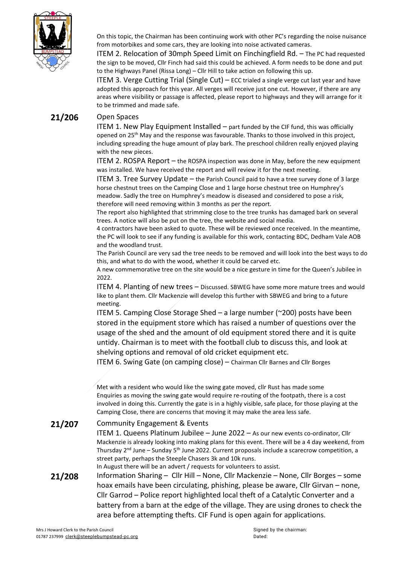

On this topic, the Chairman has been continuing work with other PC's regarding the noise nuisance from motorbikes and some cars, they are looking into noise activated cameras.

ITEM 2. Relocation of 30mph Speed Limit on Finchingfield Rd. – The PC had requested the sign to be moved, Cllr Finch had said this could be achieved. A form needs to be done and put to the Highways Panel (Rissa Long) – Cllr Hill to take action on following this up.

ITEM 3. Verge Cutting Trial (Single Cut) – ECC trialed a single verge cut last year and have adopted this approach for this year. All verges will receive just one cut. However, if there are any areas where visibility or passage is affected, please report to highways and they will arrange for it to be trimmed and made safe.

### **21/206** Open Spaces

ITEM 1. New Play Equipment Installed  $-$  part funded by the CIF fund, this was officially opened on 25<sup>th</sup> May and the response was favourable. Thanks to those involved in this project, including spreading the huge amount of play bark. The preschool children really enjoyed playing with the new pieces.

ITEM 2. ROSPA Report – the ROSPA inspection was done in May, before the new equipment was installed. We have received the report and will review it for the next meeting.

ITEM 3. Tree Survey Update – the Parish Council paid to have a tree survey done of 3 large horse chestnut trees on the Camping Close and 1 large horse chestnut tree on Humphrey's meadow. Sadly the tree on Humphrey's meadow is diseased and considered to pose a risk, therefore will need removing within 3 months as per the report.

The report also highlighted that strimming close to the tree trunks has damaged bark on several trees. A notice will also be put on the tree, the website and social media.

4 contractors have been asked to quote. These will be reviewed once received. In the meantime, the PC will look to see if any funding is available for this work, contacting BDC, Dedham Vale AOB and the woodland trust.

The Parish Council are very sad the tree needs to be removed and will look into the best ways to do this, and what to do with the wood, whether it could be carved etc.

A new commemorative tree on the site would be a nice gesture in time for the Queen's Jubilee in 2022.

ITEM 4. Planting of new trees – Discussed. SBWEG have some more mature trees and would like to plant them. Cllr Mackenzie will develop this further with SBWEG and bring to a future meeting.

ITEM 5. Camping Close Storage Shed – a large number (~200) posts have been stored in the equipment store which has raised a number of questions over the usage of the shed and the amount of old equipment stored there and it is quite untidy. Chairman is to meet with the football club to discuss this, and look at shelving options and removal of old cricket equipment etc.

ITEM 6. Swing Gate (on camping close) – Chairman Cllr Barnes and Cllr Borges

Met with a resident who would like the swing gate moved, cllr Rust has made some Enquiries as moving the swing gate would require re-routing of the footpath, there is a cost involved in doing this. Currently the gate is in a highly visible, safe place, for those playing at the Camping Close, there are concerns that moving it may make the area less safe.

### **21/207** Community Engagement & Events

ITEM 1. Queens Platinum Jubilee – June 2022 – As our new events co-ordinator, Cllr Mackenzie is already looking into making plans for this event. There will be a 4 day weekend, from Thursday 2<sup>nd</sup> June – Sunday 5<sup>th</sup> June 2022. Current proposals include a scarecrow competition, a street party, perhaps the Steeple Chasers 3k and 10k runs.

In August there will be an advert / requests for volunteers to assist.

**21/208** Information Sharing – Cllr Hill – None, Cllr Mackenzie – None, Cllr Borges – some hoax emails have been circulating, phishing, please be aware, Cllr Girvan – none, Cllr Garrod – Police report highlighted local theft of a Catalytic Converter and a battery from a barn at the edge of the village. They are using drones to check the area before attempting thefts. CIF Fund is open again for applications.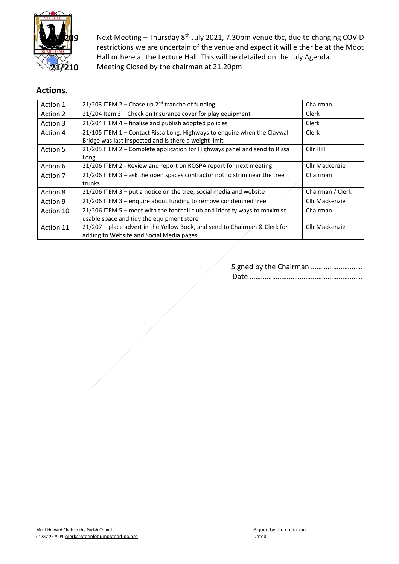

**209** Next Meeting – Thursday 8<sup>th</sup> July 2021, 7.30pm venue tbc, due to changing COVID restrictions we are uncertain of the venue and expect it will either be at the Moot Hall or here at the Lecture Hall. This will be detailed on the July Agenda. **21/210** Meeting Closed by the chairman at 21.20pm

# **Actions.**

| Action 1  | 21/203 ITEM 2 - Chase up 2 <sup>nd</sup> tranche of funding                 | Chairman         |
|-----------|-----------------------------------------------------------------------------|------------------|
| Action 2  | 21/204 Item 3 - Check on Insurance cover for play equipment                 | Clerk            |
| Action 3  | 21/204 ITEM 4 - finalise and publish adopted policies                       | Clerk            |
| Action 4  | 21/105 ITEM 1 - Contact Rissa Long, Highways to enquire when the Claywall   | Clerk            |
|           | Bridge was last inspected and is there a weight limit                       |                  |
| Action 5  | 21/205 ITEM 2 - Complete application for Highways panel and send to Rissa   | Cllr Hill        |
|           | Long                                                                        |                  |
| Action 6  | 21/206 ITEM 2 - Review and report on ROSPA report for next meeting          | Cllr Mackenzie   |
| Action 7  | $21/206$ ITEM 3 – ask the open spaces contractor not to strim near the tree | Chairman         |
|           | trunks.                                                                     |                  |
| Action 8  | $21/206$ ITEM 3 – put a notice on the tree, social media and website        | Chairman / Clerk |
| Action 9  | 21/206 ITEM 3 - enquire about funding to remove condemned tree              | Cllr Mackenzie   |
| Action 10 | 21/206 ITEM 5 - meet with the football club and identify ways to maximise   | Chairman         |
|           | usable space and tidy the equipment store                                   |                  |
| Action 11 | 21/207 - place advert in the Yellow Book, and send to Chairman & Clerk for  | Cllr Mackenzie   |
|           | adding to Website and Social Media pages                                    |                  |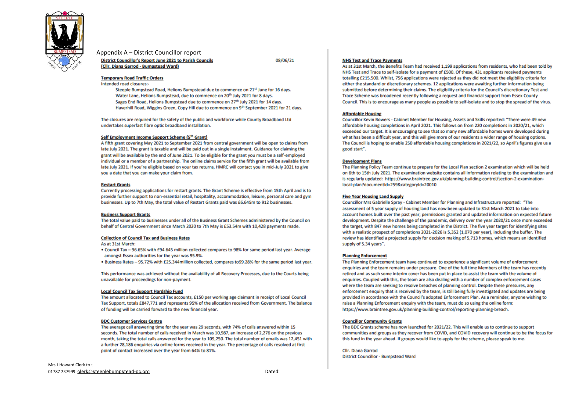

#### Appendix A - District Councillor report **District Councillor's Report June 2021 to Parish Councils** (Cllr. Diana Garrod - Bumpstead Ward)

08/06/21

#### **Temporary Road Traffic Orders**

Intended road closures:-

Steeple Bumpstead Road, Helions Bumpstead due to commence on 21st June for 16 days. Water Lane. Helions Bumpstead, due to commence on 20<sup>th</sup> July 2021 for 8 days. Sages End Road, Helions Bumpstead due to commence on 27th July 2021 for 14 days. Haverhill Road, Wiggins Green, Copy Hill due to commence on 9<sup>th</sup> September 2021 for 21 days.

The closures are required for the safety of the public and workforce while County Broadband Ltd undertakes superfast fibre optic broadband installation.

#### Self Employment Income Support Scheme (5th Grant)

A fifth grant covering May 2021 to September 2021 from central government will be open to claims from late July 2021. The grant is taxable and will be paid out in a single instalment. Guidance for claiming the grant will be available by the end of June 2021. To be eligible for the grant you must be a self-employed individual or a member of a partnership. The online claims service for the fifth grant will be available from late July 2021. If you're eligible based on your tax returns. HMRC will contact you in mid-July 2021 to give you a date that you can make your claim from.

#### **Restart Grants**

Currently processing applications for restart grants. The Grant Scheme is effective from 15th April and is to provide further support to non-essential retail, hospitality, accommodation, leisure, personal care and gym businesses. Up to 7th May, the total value of Restart Grants paid was £6.645m to 912 businesses.

#### **Business Support Grants**

The total value paid to businesses under all of the Business Grant Schemes administered by the Council on behalf of Central Government since March 2020 to 7th May is £53.54m with 10.428 payments made.

#### **Collection of Council Tax and Business Rates**

As at 31st March:

- . Council Tax 96.65% with £94.645 million collected compares to 98% for same period last year. Average amongst Essex authorities for the year was 95.9%.
- . Business Rates 95.72% with £25.344 million collected, compares to 99.28% for the same period last year.

This performance was achieved without the availability of all Recovery Processes, due to the Courts being unavailable for proceedings for non-payment.

#### **Local Council Tax Support Hardship Fund**

The amount allocated to Council Tax accounts, £150 per working age claimant in receipt of Local Council Tax Support, totals £847,771 and represents 95% of the allocation received from Government. The balance of funding will be carried forward to the new financial year.

#### **BDC Customer Services Centre**

The average call answering time for the year was 29 seconds, with 74% of calls answered within 15 seconds. The total number of calls received in March was 10,987, an increase of 2,276 on the previous month, taking the total calls answered for the year to 109,250. The total number of emails was 12,451 with a further 28,186 enquiries via online forms received in the year. The percentage of calls resolved at first point of contact increased over the year from 64% to 81%.

#### **NHS Test and Trace Payments**

As at 31st March, the Benefits Team had received 1,199 applications from residents, who had been told by NHS Test and Trace to self-isolate for a payment of £500. Of these, 431 applicants received payments totalling £215.500. Whilst, 756 applications were rejected as they did not meet the eligibility criteria for either the standard or discretionary schemes. 12 applications were awaiting further information being submitted before determining their claims. The eligibility criteria for the Council's discretionary Test and Trace Scheme was broadened recently following a request and financial support from Essex County Council. This is to encourage as many people as possible to self-isolate and to stop the spread of the virus.

#### **Affordable Housing**

Councillor Kevin Bowers - Cabinet Member for Housing, Assets and Skills reported: "There were 49 new affordable housing completions in April 2021. This follows on from 220 completions in 2020/21, which exceeded our target. It is encouraging to see that so many new affordable homes were developed during what has been a difficult year, and this will give more of our residents a wider range of housing options. The Council is hoping to enable 250 affordable housing completions in 2021/22, so April's figures give us a good start".

#### **Development Plans**

The Planning Policy Team continue to prepare for the Local Plan section 2 examination which will be held on 6th to 15th July 2021. The examination website contains all information relating to the examination and is regularly updated: https://www.braintree.gov.uk/planning-building-control/section-2-examinationlocal-plan?documentId=259&categoryId=20010

#### **Five Year Housing Land Supply**

Councillor Mrs Gabrielle Spray - Cabinet Member for Planning and Infrastructure reported: "The assessment of 5 year supply of housing land has now been updated to 31st March 2021 to take into account homes built over the past year: permissions granted and updated information on expected future development. Despite the challenge of the pandemic, delivery over the year 2020/21 once more exceeded the target, with 847 new homes being completed in the District. The five year target for identifying sites with a realistic prospect of completions 2021-2026 is 5,352 (1,070 per year), including the buffer. The review has identified a projected supply for decision making of 5.713 homes, which means an identified supply of 5.34 years".

#### **Planning Enforcement**

The Planning Enforcement team have continued to experience a significant volume of enforcement enquiries and the team remains under pressure. One of the full time Members of the team has recently retired and as such some interim cover has been put in place to assist the team with the volume of enquiries. Coupled with this, the team are also dealing with a number of complex enforcement cases where the team are seeking to resolve breaches of planning control. Despite these pressures, any enforcement enguiry that is received by the team, is still being fully investigated and updates are being provided in accordance with the Council's adopted Enforcement Plan. As a reminder, anyone wishing to raise a Planning Enforcement enguiry with the team, must do so using the online form: https://www.braintree.gov.uk/planning-building-control/reporting-planning-breach.

#### **Councillor Community Grants**

The BDC Grants scheme has now launched for 2021/22. This will enable us to continue to support communities and groups as they recover from COVID, and COVID recovery will continue to be the focus for this fund in the year ahead. If groups would like to apply for the scheme, please speak to me.

Cllr. Diana Garrod **District Councillor - Bumpstead Ward**